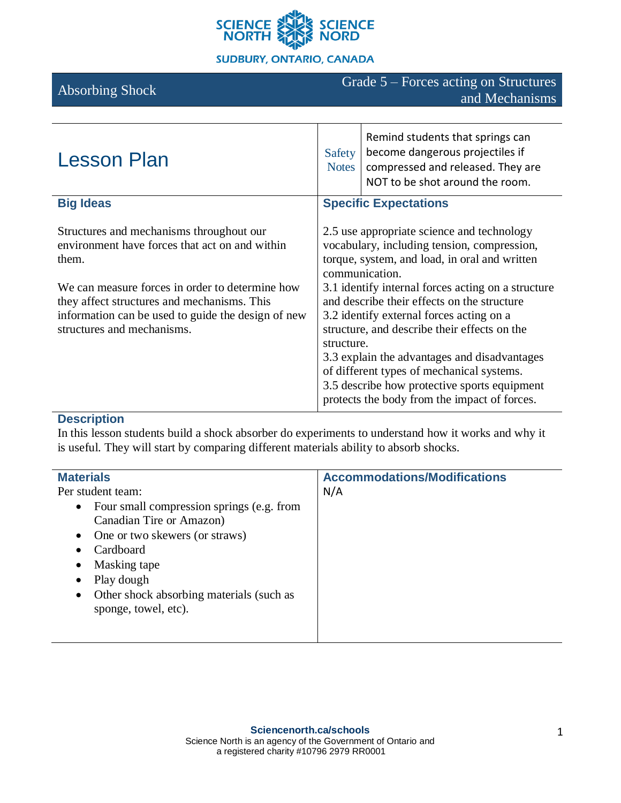

# Absorbing Shock Grade 5 – Forces acting on Structures and Mechanisms

| <b>Lesson Plan</b>                                                                                                                                                                                                                                                                        | Safety<br><b>Notes</b>                                                                                                                                                                                                                                                                                                                                                                                                                                                   | Remind students that springs can<br>become dangerous projectiles if<br>compressed and released. They are<br>NOT to be shot around the room. |
|-------------------------------------------------------------------------------------------------------------------------------------------------------------------------------------------------------------------------------------------------------------------------------------------|--------------------------------------------------------------------------------------------------------------------------------------------------------------------------------------------------------------------------------------------------------------------------------------------------------------------------------------------------------------------------------------------------------------------------------------------------------------------------|---------------------------------------------------------------------------------------------------------------------------------------------|
| <b>Big Ideas</b>                                                                                                                                                                                                                                                                          | <b>Specific Expectations</b>                                                                                                                                                                                                                                                                                                                                                                                                                                             |                                                                                                                                             |
| Structures and mechanisms throughout our<br>environment have forces that act on and within<br>them.<br>We can measure forces in order to determine how<br>they affect structures and mechanisms. This<br>information can be used to guide the design of new<br>structures and mechanisms. | 2.5 use appropriate science and technology<br>vocabulary, including tension, compression,<br>torque, system, and load, in oral and written<br>communication.<br>3.1 identify internal forces acting on a structure<br>and describe their effects on the structure<br>3.2 identify external forces acting on a<br>structure, and describe their effects on the<br>structure.<br>3.3 explain the advantages and disadvantages<br>of different types of mechanical systems. |                                                                                                                                             |
|                                                                                                                                                                                                                                                                                           |                                                                                                                                                                                                                                                                                                                                                                                                                                                                          | 3.5 describe how protective sports equipment<br>protects the body from the impact of forces.                                                |

# **Description**

In this lesson students build a shock absorber do experiments to understand how it works and why it is useful. They will start by comparing different materials ability to absorb shocks.

| <b>Materials</b>                                       | <b>Accommodations/Modifications</b> |
|--------------------------------------------------------|-------------------------------------|
| Per student team:                                      | N/A                                 |
| Four small compression springs (e.g. from<br>$\bullet$ |                                     |
| Canadian Tire or Amazon)                               |                                     |
| One or two skewers (or straws)<br>$\bullet$            |                                     |
| Cardboard<br>$\bullet$                                 |                                     |
| Masking tape<br>٠                                      |                                     |
| Play dough<br>$\bullet$                                |                                     |
| Other shock absorbing materials (such as<br>$\bullet$  |                                     |
| sponge, towel, etc).                                   |                                     |
|                                                        |                                     |
|                                                        |                                     |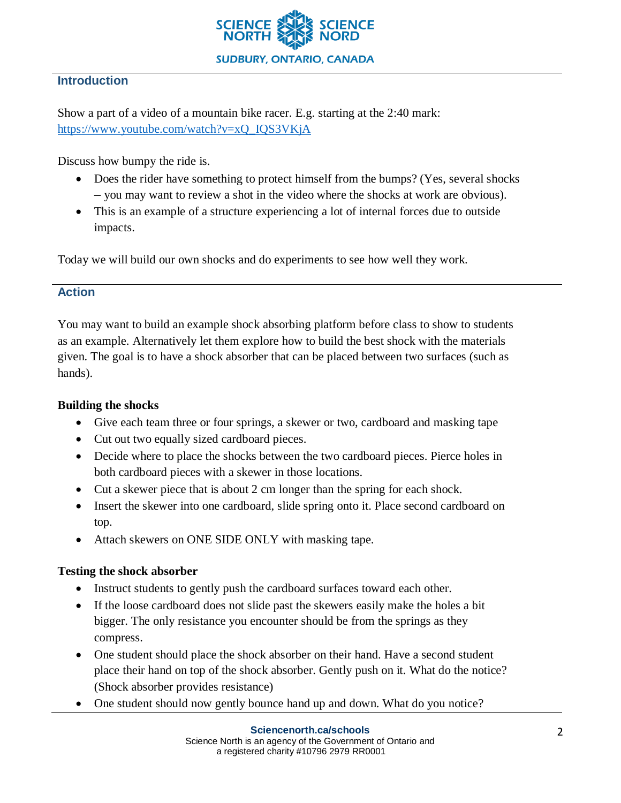

## **Introduction**

Show a part of a video of a mountain bike racer. E.g. starting at the 2:40 mark: [https://www.youtube.com/watch?v=xQ\\_IQS3VKjA](https://www.youtube.com/watch?v=xQ_IQS3VKjA)

Discuss how bumpy the ride is.

- Does the rider have something to protect himself from the bumps? (Yes, several shocks – you may want to review a shot in the video where the shocks at work are obvious).
- This is an example of a structure experiencing a lot of internal forces due to outside impacts.

Today we will build our own shocks and do experiments to see how well they work.

## **Action**

You may want to build an example shock absorbing platform before class to show to students as an example. Alternatively let them explore how to build the best shock with the materials given. The goal is to have a shock absorber that can be placed between two surfaces (such as hands).

## **Building the shocks**

- Give each team three or four springs, a skewer or two, cardboard and masking tape
- Cut out two equally sized cardboard pieces.
- Decide where to place the shocks between the two cardboard pieces. Pierce holes in both cardboard pieces with a skewer in those locations.
- Cut a skewer piece that is about 2 cm longer than the spring for each shock.
- Insert the skewer into one cardboard, slide spring onto it. Place second cardboard on top.
- Attach skewers on ONE SIDE ONLY with masking tape.

## **Testing the shock absorber**

- Instruct students to gently push the cardboard surfaces toward each other.
- If the loose cardboard does not slide past the skewers easily make the holes a bit bigger. The only resistance you encounter should be from the springs as they compress.
- One student should place the shock absorber on their hand. Have a second student place their hand on top of the shock absorber. Gently push on it. What do the notice? (Shock absorber provides resistance)
- One student should now gently bounce hand up and down. What do you notice?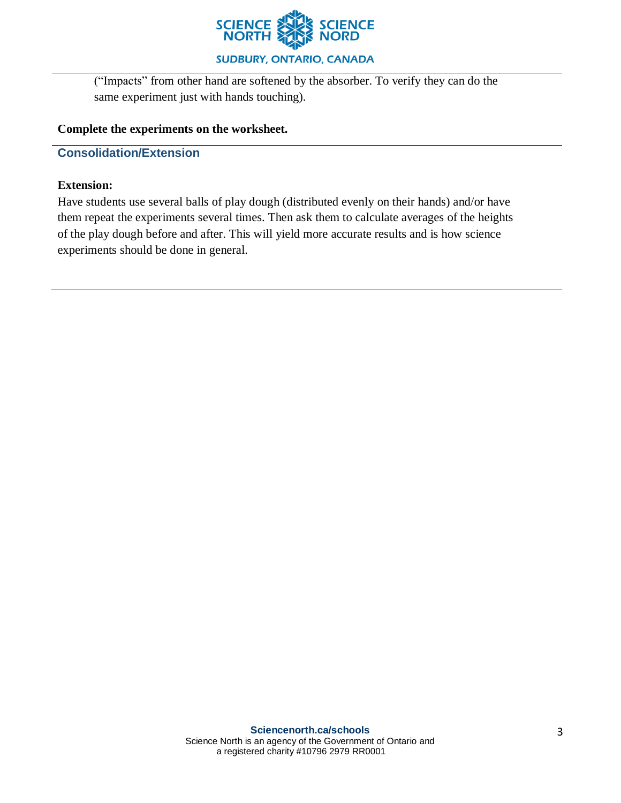

**SUDBURY, ONTARIO, CANADA** 

("Impacts" from other hand are softened by the absorber. To verify they can do the same experiment just with hands touching).

#### **Complete the experiments on the worksheet.**

### **Consolidation/Extension**

#### **Extension:**

Have students use several balls of play dough (distributed evenly on their hands) and/or have them repeat the experiments several times. Then ask them to calculate averages of the heights of the play dough before and after. This will yield more accurate results and is how science experiments should be done in general.